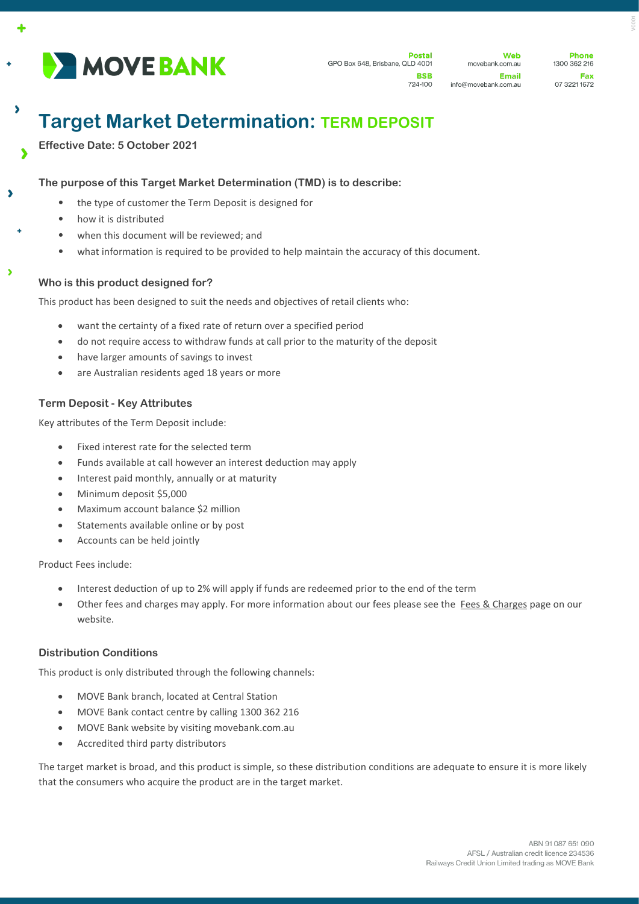

Web movebank.com.au Email info@movebank.com.au

# **Target Market Determination: TERM DEPOSIT**

**Effective Date: 5 October 2021** 

 $\lambda$ 

À

# **The purpose of this Target Market Determination (TMD) is to describe:**

- the type of customer the Term Deposit is designed for
- how it is distributed
- when this document will be reviewed; and
- what information is required to be provided to help maintain the accuracy of this document.

## **Who is this product designed for?**

This product has been designed to suit the needs and objectives of retail clients who:

- want the certainty of a fixed rate of return over a specified period
- do not require access to withdraw funds at call prior to the maturity of the deposit
- have larger amounts of savings to invest
- are Australian residents aged 18 years or more

# **Term Deposit - Key Attributes**

Key attributes of the Term Deposit include:

- Fixed interest rate for the selected term
- Funds available at call however an interest deduction may apply
- Interest paid monthly, annually or at maturity
- Minimum deposit \$5,000
- Maximum account balance \$2 million
- Statements available online or by post
- Accounts can be held jointly

Product Fees include:

- Interest deduction of up to 2% will apply if funds are redeemed prior to the end of the term
- Other fees and charges may apply. For more information about our fees please see the [Fees & Charges](https://movebank.com.au/quick-links/fees-charges/) page on our website.

## **Distribution Conditions**

This product is only distributed through the following channels:

- MOVE Bank branch, located at Central Station
- MOVE Bank contact centre by calling 1300 362 216
- MOVE Bank website by visiting movebank.com.au
- Accredited third party distributors

The target market is broad, and this product is simple, so these distribution conditions are adequate to ensure it is more likely that the consumers who acquire the product are in the target market.